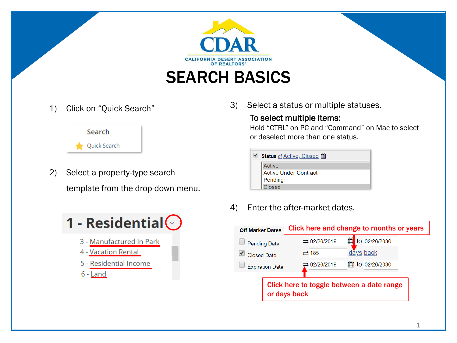

1) Click on "Quick Search"



- 2) Select a property-type search template from the drop-down menu.
	- 1 Residential $\odot$ 
		- 3 Manufactured In Park
		- 4 Vacation Rental
		- 5 Residential Income
		- 6 Land

3) Select a status or multiple statuses.

### To select multiple items:

Hold "CTRL" on PC and "Command" on Mac to select or deselect more than one status.

| <b>Status</b> of Active, Closed <b>in</b> |  |  |  |  |  |
|-------------------------------------------|--|--|--|--|--|
| Active                                    |  |  |  |  |  |
| <b>Active Under Contract</b>              |  |  |  |  |  |
| Pending                                   |  |  |  |  |  |
| Closed                                    |  |  |  |  |  |

4) Enter the after-market dates.

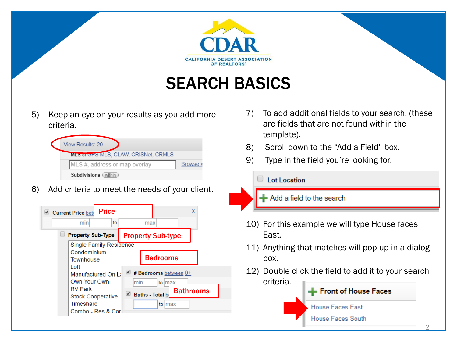

# SEARCH BASICS

5) Keep an eye on your results as you add more criteria.

| <b>View Results: 20</b>              |          |
|--------------------------------------|----------|
| MLS of GPS MLS, CLAW, CRISNet, CRMLS |          |
| MLS #, address or map overlay        | Browse » |
| Subdivisions (<br>within             |          |

6) Add criteria to meet the needs of your client.

| <b>Price</b><br>Current Price bet                          | x                                                             |
|------------------------------------------------------------|---------------------------------------------------------------|
| min<br>to                                                  | maxl                                                          |
| <b>Property Sub-Type</b>                                   | <b>Property Sub-type</b>                                      |
| Single Family Residence<br>Condominium<br><b>Townhouse</b> | <b>Bedrooms</b>                                               |
| l oft<br>Manufactured On La<br>Own Your Own                | $\blacktriangleleft$ # Bedrooms between $0+$<br>min<br>to max |
| <b>RV Park</b><br><b>Stock Cooperative</b>                 | <b>Bathrooms</b><br>Baths - Total b                           |
| Timeshare<br>Combo - Res & Cor                             | to max                                                        |

- 7) To add additional fields to your search. (these are fields that are not found within the template).
- 8) Scroll down to the "Add a Field" box.
- 9) Type in the field you're looking for.

#### $\Box$  Lot Location

Add a field to the search

- 10) For this example we will type House faces East.
- 11) Anything that matches will pop up in a dialog box.
- 12) Double click the field to add it to your search criteria.

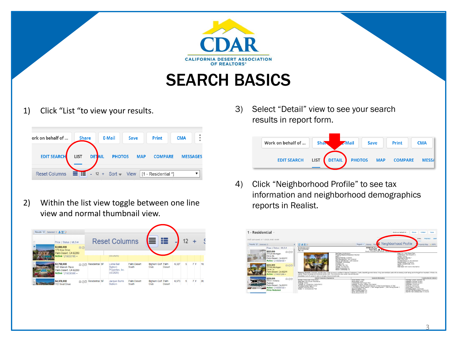

## SEARCH BASICS

### 1) Click "List "to view your results.

| ork on behalf of     | <b>Share</b> |               | <b>E-Mail</b> | Save       | Print                                    | <b>CMA</b> |                 |
|----------------------|--------------|---------------|---------------|------------|------------------------------------------|------------|-----------------|
| <b>EDIT SEARCH</b>   | <b>LIST</b>  | <b>DETAIL</b> | <b>PHOTOS</b> | <b>MAP</b> | <b>COMPARE</b>                           |            | <b>MESSAGES</b> |
| <b>Reset Columns</b> | Er:1         |               |               |            | - 12 + Sort - View $ 1 -$ Residential *] |            |                 |

2) Within the list view toggle between one line view and normal thumbnail view.



3) Select "Detail" view to see your search results in report form.

| Work on behalf of  | <b>Shaw</b> |               | <b>ZMail</b>  | Save       | <b>Print</b>   | <b>CMA</b>   |
|--------------------|-------------|---------------|---------------|------------|----------------|--------------|
| <b>EDIT SEARCH</b> | <b>LIST</b> | <b>DETAIL</b> | <b>PHOTOS</b> | <b>MAP</b> | <b>COMPARE</b> | <b>MESSA</b> |

4) Click "Neighborhood Profile" to see tax information and neighborhood demographics reports in Realist.

| 1 - Residential -                                                                                       |                                                                                                        |                                                                                                                                                                                                                                                                                                                                                                                                                      |                                                                                                                                                                                                             |                                                                                                                                                                                                                                                                                                                       | Work on behalf of         | thare                                                                                                                                                                                            | <b>C-Mail</b><br>Save                                                                                                                                                                                                                                                                      |  |
|---------------------------------------------------------------------------------------------------------|--------------------------------------------------------------------------------------------------------|----------------------------------------------------------------------------------------------------------------------------------------------------------------------------------------------------------------------------------------------------------------------------------------------------------------------------------------------------------------------------------------------------------------------|-------------------------------------------------------------------------------------------------------------------------------------------------------------------------------------------------------------|-----------------------------------------------------------------------------------------------------------------------------------------------------------------------------------------------------------------------------------------------------------------------------------------------------------------------|---------------------------|--------------------------------------------------------------------------------------------------------------------------------------------------------------------------------------------------|--------------------------------------------------------------------------------------------------------------------------------------------------------------------------------------------------------------------------------------------------------------------------------------------|--|
| Draft last sayed: 3/11/2020, 6:42:14 AM                                                                 |                                                                                                        |                                                                                                                                                                                                                                                                                                                                                                                                                      |                                                                                                                                                                                                             |                                                                                                                                                                                                                                                                                                                       |                           |                                                                                                                                                                                                  | PHOTOS<br><b>MAP</b><br>ITAIL                                                                                                                                                                                                                                                              |  |
| Results: 20 Selected: 0                                                                                 |                                                                                                        | 区上面区                                                                                                                                                                                                                                                                                                                                                                                                                 |                                                                                                                                                                                                             | Report w History Real                                                                                                                                                                                                                                                                                                 | Reighborhood Profile      |                                                                                                                                                                                                  | Property Map  . HPR                                                                                                                                                                                                                                                                        |  |
| $-55$                                                                                                   | Price   Status   MLS #<br>\$225,000<br><b>曲の区</b>                                                      | <b>Residential Action</b><br>MI 58 219031296<br>DW: 158                                                                                                                                                                                                                                                                                                                                                              |                                                                                                                                                                                                             | 77755 Michigan<br>Palm Des- # 4<br>County: Rayproring Conce Streets, Your                                                                                                                                                                                                                                             |                           |                                                                                                                                                                                                  |                                                                                                                                                                                                                                                                                            |  |
|                                                                                                         | 77725 Michigan<br>Drive 2b<br>Palm Desert, CA 92211<br>Active / 219039458 -                            |                                                                                                                                                                                                                                                                                                                                                                                                                      | Sub-Type: Condominium<br>Property Attached/Detached: Attached<br>Reds: 2<br>Baths (FiT/High 2 (2/0/0/0)<br>Year Ruth/Source: 1962/ Accessor<br>Annese Soft/Source: 1.260 Accessor<br>Furnished: Unfurnished |                                                                                                                                                                                                                                                                                                                       |                           | Area: 324 - Polm Decent East<br>Subdivision: Pain Denet C.C.<br>Legals: Ground<br>Building # of Stories: 1<br>APN: 000012002<br>Lot Size/Source: 0.148 / Assessor<br>Service Levelt Full Service |                                                                                                                                                                                                                                                                                            |  |
|                                                                                                         | \$244,900<br><b>BOR</b><br>77755 Michigan<br>Drive 1a<br>Palm Desert, CA 92211<br>Active / 219031296 - | peried Single car garage and individual laundry room. This community has 2 pools, spa and dog park.<br>Directions: East off varner tri, east on michigan, house on south side                                                                                                                                                                                                                                        | Firestace: No<br>Pool (Spac Yes / Yes<br>Garage: Yes Attached<br>Gated Community: No.<br>Senior Community: No                                                                                               | Casita - Guasthouse None<br><b>View: Yes</b><br>View Type: Golf Course: Mountain(s)<br>Marketing Remarks: Absolutely adorable orace, ready to move in condition! It features 2 badrooms. 2 baths, beautiful gournet kitchen. Hims room and back pato with an amazing south facing view to the pot and mountains. Wind |                           |                                                                                                                                                                                                  |                                                                                                                                                                                                                                                                                            |  |
|                                                                                                         | \$250,000                                                                                              | Interior Features & Appliances                                                                                                                                                                                                                                                                                                                                                                                       | General Information                                                                                                                                                                                         |                                                                                                                                                                                                                                                                                                                       | Construction & Faterior P |                                                                                                                                                                                                  |                                                                                                                                                                                                                                                                                            |  |
| 803<br>77031 Indiana<br>Avenue<br>Palm Desert, CA 92211<br>Active / 219038739 -<br><b>Price Reduced</b> |                                                                                                        | Rooms: Dining Apex Living Room<br>Assn Fee Inc: Yone<br><b>Wew Type: Goff Course: Mountain(s)</b><br>Assn Amen: Other<br><b>Heating: Central</b><br>Cooling: Air Conditioning, Celling Fanish<br>Showing Contact Type: Ourser<br>Laundry: Individual Room<br>Sawer: In. Connected and Paid<br>Security/Safety: Other<br>Will Consider Lease: No.<br>Short Term Rentals: Yes<br>the course the reduction of the high- |                                                                                                                                                                                                             | Community Feet: Dogge Park<br>Parking: Driveway, Garage Door Opener<br>Park/Space Info: Total Carport Spaces: 0: Total Covered Spaces: 0. Total<br>Uncovered/Assigned Spaces: 1: Total Garage Spaces: 1: Total Parking Spaces: 2                                                                                      |                           |                                                                                                                                                                                                  | Flooring: Carpet Laminate, Tile<br>Irrigation: Sprinkler System<br>Intigation: Sprinkler System<br><b>Pold Feat: Community</b><br>Pool Loc: Community<br>Pool Const: In Ground<br>Pool Description: Community<br>Spalied Tub Description: Community<br>Spatiet Tub Construction: In Ground |  |